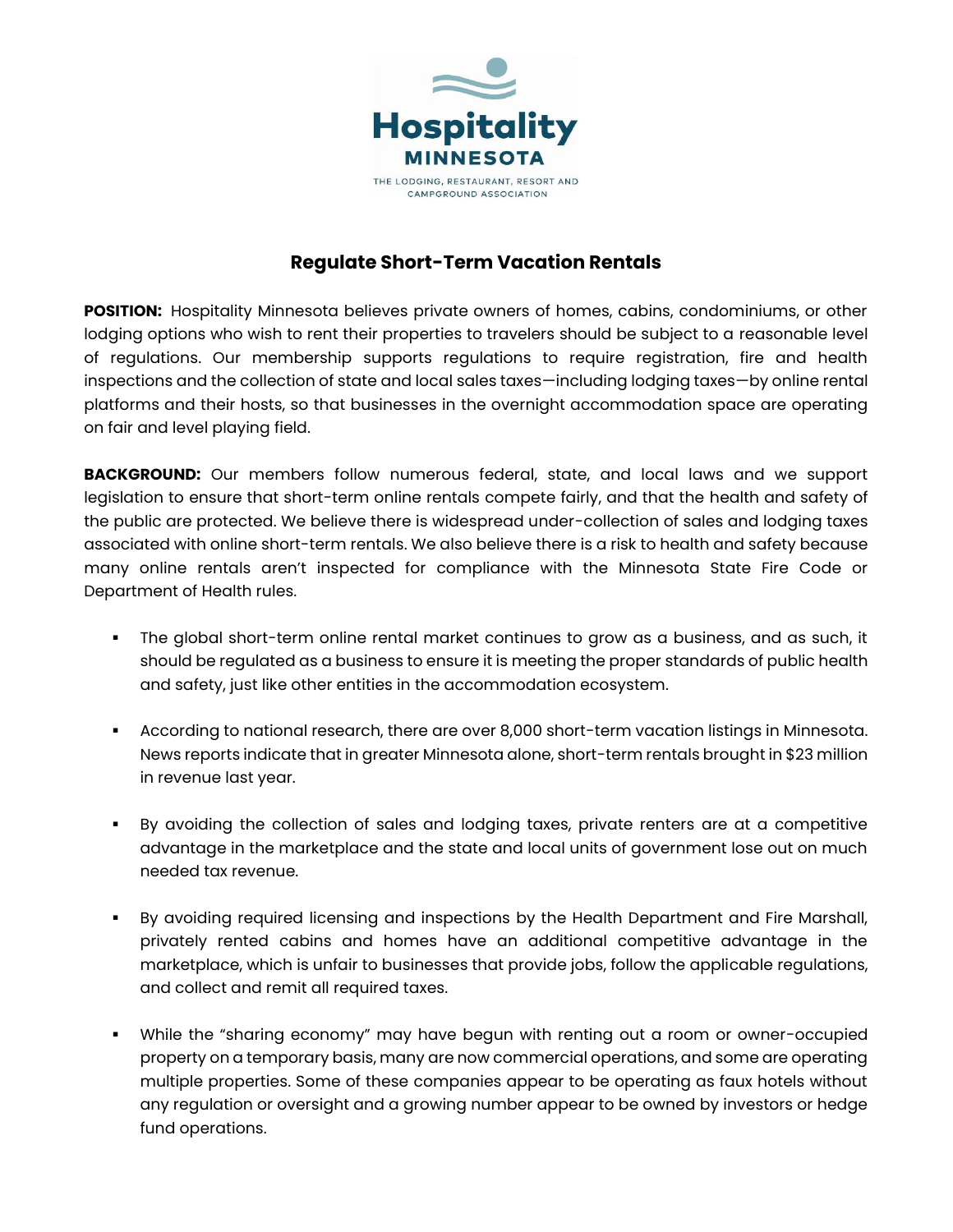

## **Regulate Short-Term Vacation Rentals**

**POSITION:** Hospitality Minnesota believes private owners of homes, cabins, condominiums, or other lodging options who wish to rent their properties to travelers should be subject to a reasonable level of regulations. Our membership supports regulations to require registration, fire and health inspections and the collection of state and local sales taxes—including lodging taxes—by online rental platforms and their hosts, so that businesses in the overnight accommodation space are operating on fair and level playing field.

**BACKGROUND:** Our members follow numerous federal, state, and local laws and we support legislation to ensure that short-term online rentals compete fairly, and that the health and safety of the public are protected. We believe there is widespread under-collection of sales and lodging taxes associated with online short-term rentals. We also believe there is a risk to health and safety because many online rentals aren't inspected for compliance with the Minnesota State Fire Code or Department of Health rules.

- The global short-term online rental market continues to grow as a business, and as such, it should be regulated as a business to ensure it is meeting the proper standards of public health and safety, just like other entities in the accommodation ecosystem.
- According to national research, there are over 8,000 short-term vacation listings in Minnesota. News reports indicate that in greater Minnesota alone, short-term rentals brought in \$23 million in revenue last year.
- By avoiding the collection of sales and lodging taxes, private renters are at a competitive advantage in the marketplace and the state and local units of government lose out on much needed tax revenue.
- By avoiding required licensing and inspections by the Health Department and Fire Marshall, privately rented cabins and homes have an additional competitive advantage in the marketplace, which is unfair to businesses that provide jobs, follow the applicable regulations, and collect and remit all required taxes.
- While the "sharing economy" may have begun with renting out a room or owner-occupied property on a temporary basis, many are now commercial operations, and some are operating multiple properties. Some of these companies appear to be operating as faux hotels without any regulation or oversight and a growing number appear to be owned by investors or hedge fund operations.